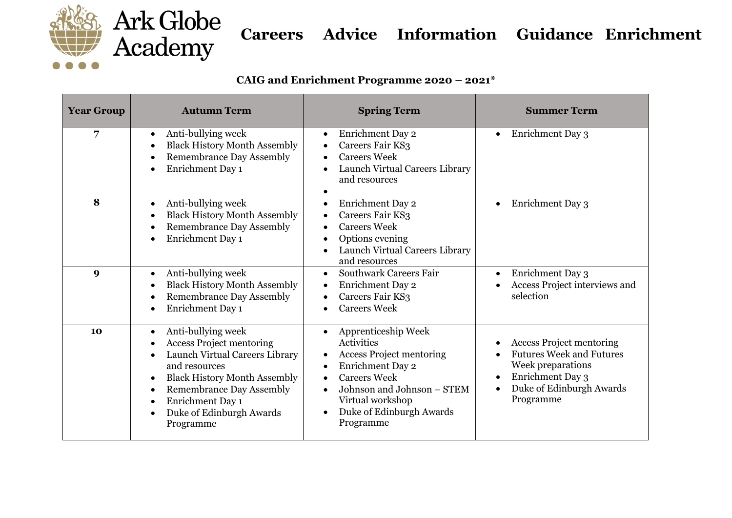

**Careers Advice Information Guidance Enrichment** 

## **CAIG and Enrichment Programme 2020 – 2021\***

| <b>Year Group</b> | <b>Autumn Term</b>                                                                                                                                                                                                                                                                                                                         | <b>Spring Term</b>                                                                                                                                                                                                                                                                       | <b>Summer Term</b>                                                                                                                                                |
|-------------------|--------------------------------------------------------------------------------------------------------------------------------------------------------------------------------------------------------------------------------------------------------------------------------------------------------------------------------------------|------------------------------------------------------------------------------------------------------------------------------------------------------------------------------------------------------------------------------------------------------------------------------------------|-------------------------------------------------------------------------------------------------------------------------------------------------------------------|
| 7                 | Anti-bullying week<br>$\bullet$<br><b>Black History Month Assembly</b><br>$\bullet$<br><b>Remembrance Day Assembly</b><br>$\bullet$<br>Enrichment Day 1<br>$\bullet$                                                                                                                                                                       | Enrichment Day 2<br>$\bullet$<br>Careers Fair KS3<br>$\bullet$<br><b>Careers Week</b><br>$\bullet$<br>Launch Virtual Careers Library<br>and resources                                                                                                                                    | Enrichment Day 3<br>$\bullet$                                                                                                                                     |
| 8                 | Anti-bullying week<br>$\bullet$<br><b>Black History Month Assembly</b><br>$\bullet$<br><b>Remembrance Day Assembly</b><br>$\bullet$<br>Enrichment Day 1<br>$\bullet$                                                                                                                                                                       | Enrichment Day 2<br>$\bullet$<br>Careers Fair KS3<br>$\bullet$<br><b>Careers Week</b><br>$\bullet$<br>Options evening<br>Launch Virtual Careers Library<br>$\bullet$<br>and resources                                                                                                    | Enrichment Day 3<br>$\bullet$                                                                                                                                     |
| 9                 | Anti-bullying week<br>$\bullet$<br><b>Black History Month Assembly</b><br>$\bullet$<br><b>Remembrance Day Assembly</b><br>$\bullet$<br>Enrichment Day 1<br>$\bullet$                                                                                                                                                                       | <b>Southwark Careers Fair</b><br>$\bullet$<br>Enrichment Day 2<br>$\bullet$<br>Careers Fair KS3<br>$\bullet$<br><b>Careers Week</b><br>$\bullet$                                                                                                                                         | Enrichment Day 3<br>$\bullet$<br>Access Project interviews and<br>selection                                                                                       |
| 10                | Anti-bullying week<br>$\bullet$<br><b>Access Project mentoring</b><br>$\bullet$<br>Launch Virtual Careers Library<br>$\bullet$<br>and resources<br><b>Black History Month Assembly</b><br>$\bullet$<br><b>Remembrance Day Assembly</b><br>$\bullet$<br>Enrichment Day 1<br>$\bullet$<br>Duke of Edinburgh Awards<br>$\bullet$<br>Programme | Apprenticeship Week<br>$\bullet$<br>Activities<br><b>Access Project mentoring</b><br>$\bullet$<br>Enrichment Day 2<br>$\bullet$<br><b>Careers Week</b><br>$\bullet$<br>Johnson and Johnson - STEM<br>$\bullet$<br>Virtual workshop<br>Duke of Edinburgh Awards<br>$\bullet$<br>Programme | <b>Access Project mentoring</b><br><b>Futures Week and Futures</b><br>Week preparations<br>Enrichment Day 3<br>Duke of Edinburgh Awards<br>$\bullet$<br>Programme |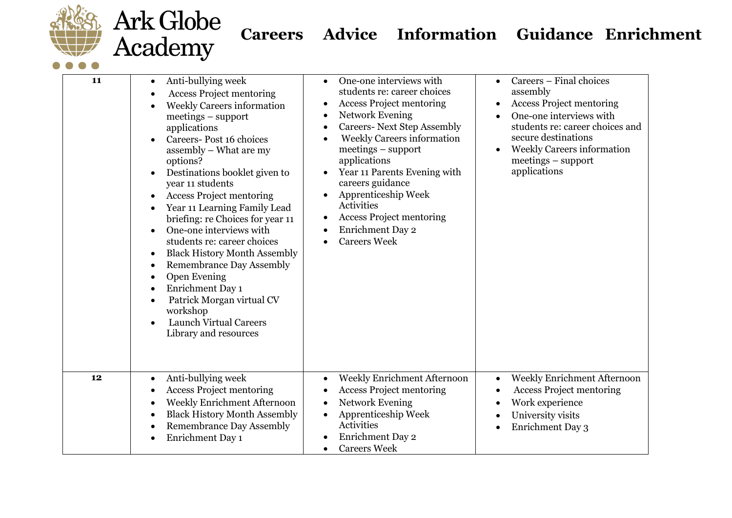



## **Careers Advice Information Guidance Enrichment**

| 11 | Anti-bullying week<br>$\bullet$<br><b>Access Project mentoring</b><br><b>Weekly Careers information</b><br>$meetings$ – support<br>applications<br>Careers-Post 16 choices<br>assembly - What are my<br>options?<br>Destinations booklet given to<br>year 11 students<br><b>Access Project mentoring</b><br>Year 11 Learning Family Lead<br>briefing: re Choices for year 11<br>One-one interviews with<br>students re: career choices<br><b>Black History Month Assembly</b><br>$\bullet$<br><b>Remembrance Day Assembly</b><br>$\bullet$<br>Open Evening<br>Enrichment Day 1<br>Patrick Morgan virtual CV<br>workshop<br><b>Launch Virtual Careers</b><br>Library and resources | One-one interviews with<br>students re: career choices<br><b>Access Project mentoring</b><br><b>Network Evening</b><br><b>Careers-Next Step Assembly</b><br><b>Weekly Careers information</b><br>$meetings$ – support<br>applications<br>Year 11 Parents Evening with<br>careers guidance<br>Apprenticeship Week<br>Activities<br><b>Access Project mentoring</b><br>٠<br>Enrichment Day 2<br><b>Careers Week</b> | Careers - Final choices<br>assembly<br><b>Access Project mentoring</b><br>One-one interviews with<br>students re: career choices and<br>secure destinations<br><b>Weekly Careers information</b><br>$meetings$ – support<br>applications |
|----|-----------------------------------------------------------------------------------------------------------------------------------------------------------------------------------------------------------------------------------------------------------------------------------------------------------------------------------------------------------------------------------------------------------------------------------------------------------------------------------------------------------------------------------------------------------------------------------------------------------------------------------------------------------------------------------|-------------------------------------------------------------------------------------------------------------------------------------------------------------------------------------------------------------------------------------------------------------------------------------------------------------------------------------------------------------------------------------------------------------------|------------------------------------------------------------------------------------------------------------------------------------------------------------------------------------------------------------------------------------------|
| 12 | Anti-bullying week<br>$\bullet$<br><b>Access Project mentoring</b><br><b>Weekly Enrichment Afternoon</b><br><b>Black History Month Assembly</b><br>Remembrance Day Assembly<br>Enrichment Day 1                                                                                                                                                                                                                                                                                                                                                                                                                                                                                   | Weekly Enrichment Afternoon<br><b>Access Project mentoring</b><br><b>Network Evening</b><br>Apprenticeship Week<br>Activities<br>Enrichment Day 2<br><b>Careers Week</b><br>$\bullet$                                                                                                                                                                                                                             | <b>Weekly Enrichment Afternoon</b><br>$\bullet$<br><b>Access Project mentoring</b><br>Work experience<br>University visits<br>Enrichment Day 3                                                                                           |